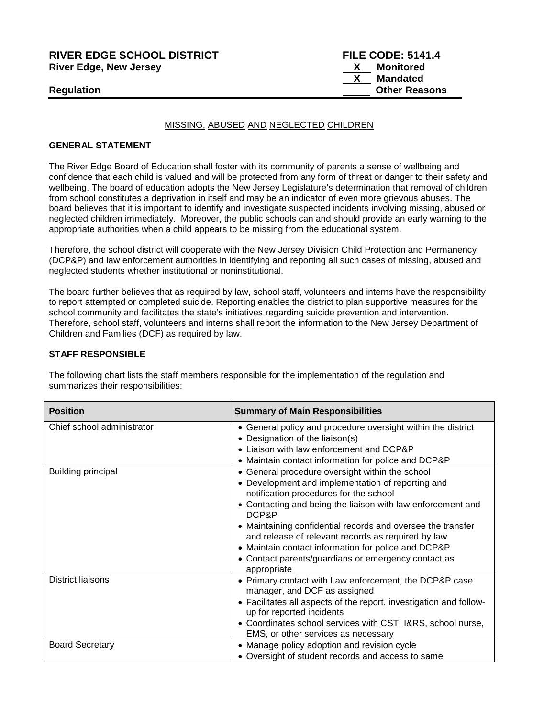## **RIVER EDGE SCHOOL DISTRICT FILE CODE: 5141.4 River Edge, New Jersey**

## MISSING, ABUSED AND NEGLECTED CHILDREN

## **GENERAL STATEMENT**

The River Edge Board of Education shall foster with its community of parents a sense of wellbeing and confidence that each child is valued and will be protected from any form of threat or danger to their safety and wellbeing. The board of education adopts the New Jersey Legislature's determination that removal of children from school constitutes a deprivation in itself and may be an indicator of even more grievous abuses. The board believes that it is important to identify and investigate suspected incidents involving missing, abused or neglected children immediately. Moreover, the public schools can and should provide an early warning to the appropriate authorities when a child appears to be missing from the educational system.

Therefore, the school district will cooperate with the New Jersey Division Child Protection and Permanency (DCP&P) and law enforcement authorities in identifying and reporting all such cases of missing, abused and neglected students whether institutional or noninstitutional.

The board further believes that as required by law, school staff, volunteers and interns have the responsibility to report attempted or completed suicide. Reporting enables the district to plan supportive measures for the school community and facilitates the state's initiatives regarding suicide prevention and intervention. Therefore, school staff, volunteers and interns shall report the information to the New Jersey Department of Children and Families (DCF) as required by law.

## **STAFF RESPONSIBLE**

The following chart lists the staff members responsible for the implementation of the regulation and summarizes their responsibilities:

| <b>Position</b>            | <b>Summary of Main Responsibilities</b>                                                                                                                                                                                                                                                                                                                                                                                                                                  |
|----------------------------|--------------------------------------------------------------------------------------------------------------------------------------------------------------------------------------------------------------------------------------------------------------------------------------------------------------------------------------------------------------------------------------------------------------------------------------------------------------------------|
| Chief school administrator | • General policy and procedure oversight within the district<br>• Designation of the liaison(s)<br>• Liaison with law enforcement and DCP&P<br>• Maintain contact information for police and DCP&P                                                                                                                                                                                                                                                                       |
| <b>Building principal</b>  | • General procedure oversight within the school<br>• Development and implementation of reporting and<br>notification procedures for the school<br>• Contacting and being the liaison with law enforcement and<br>DCP&P<br>• Maintaining confidential records and oversee the transfer<br>and release of relevant records as required by law<br>• Maintain contact information for police and DCP&P<br>• Contact parents/guardians or emergency contact as<br>appropriate |
| <b>District liaisons</b>   | • Primary contact with Law enforcement, the DCP&P case<br>manager, and DCF as assigned<br>• Facilitates all aspects of the report, investigation and follow-<br>up for reported incidents<br>• Coordinates school services with CST, I&RS, school nurse,<br>EMS, or other services as necessary                                                                                                                                                                          |
| <b>Board Secretary</b>     | • Manage policy adoption and revision cycle<br>• Oversight of student records and access to same                                                                                                                                                                                                                                                                                                                                                                         |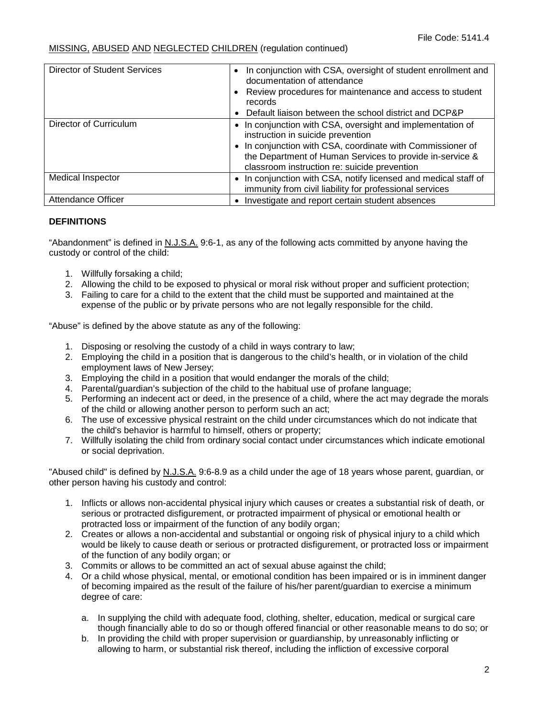| Director of Student Services | • In conjunction with CSA, oversight of student enrollment and<br>documentation of attendance                                                                                                                                                                             |
|------------------------------|---------------------------------------------------------------------------------------------------------------------------------------------------------------------------------------------------------------------------------------------------------------------------|
|                              | • Review procedures for maintenance and access to student<br>records                                                                                                                                                                                                      |
|                              | • Default liaison between the school district and DCP&P                                                                                                                                                                                                                   |
| Director of Curriculum       | • In conjunction with CSA, oversight and implementation of<br>instruction in suicide prevention<br>• In conjunction with CSA, coordinate with Commissioner of<br>the Department of Human Services to provide in-service &<br>classroom instruction re: suicide prevention |
| Medical Inspector            | • In conjunction with CSA, notify licensed and medical staff of<br>immunity from civil liability for professional services                                                                                                                                                |
| <b>Attendance Officer</b>    | • Investigate and report certain student absences                                                                                                                                                                                                                         |

## **DEFINITIONS**

"Abandonment" is defined in N.J.S.A. 9:6-1, as any of the following acts committed by anyone having the custody or control of the child:

- 1. Willfully forsaking a child;
- 2. Allowing the child to be exposed to physical or moral risk without proper and sufficient protection;
- 3. Failing to care for a child to the extent that the child must be supported and maintained at the expense of the public or by private persons who are not legally responsible for the child.

"Abuse" is defined by the above statute as any of the following:

- 1. Disposing or resolving the custody of a child in ways contrary to law;
- 2. Employing the child in a position that is dangerous to the child's health, or in violation of the child employment laws of New Jersey;
- 3. Employing the child in a position that would endanger the morals of the child;
- 4. Parental/guardian's subjection of the child to the habitual use of profane language;
- 5. Performing an indecent act or deed, in the presence of a child, where the act may degrade the morals of the child or allowing another person to perform such an act;
- 6. The use of excessive physical restraint on the child under circumstances which do not indicate that the child's behavior is harmful to himself, others or property;
- 7. Willfully isolating the child from ordinary social contact under circumstances which indicate emotional or social deprivation.

"Abused child" is defined by N.J.S.A. 9:6-8.9 as a child under the age of 18 years whose parent, guardian, or other person having his custody and control:

- 1. Inflicts or allows non-accidental physical injury which causes or creates a substantial risk of death, or serious or protracted disfigurement, or protracted impairment of physical or emotional health or protracted loss or impairment of the function of any bodily organ;
- 2. Creates or allows a non-accidental and substantial or ongoing risk of physical injury to a child which would be likely to cause death or serious or protracted disfigurement, or protracted loss or impairment of the function of any bodily organ; or
- 3. Commits or allows to be committed an act of sexual abuse against the child;
- 4. Or a child whose physical, mental, or emotional condition has been impaired or is in imminent danger of becoming impaired as the result of the failure of his/her parent/guardian to exercise a minimum degree of care:
	- a. In supplying the child with adequate food, clothing, shelter, education, medical or surgical care though financially able to do so or though offered financial or other reasonable means to do so; or
	- b. In providing the child with proper supervision or guardianship, by unreasonably inflicting or allowing to harm, or substantial risk thereof, including the infliction of excessive corporal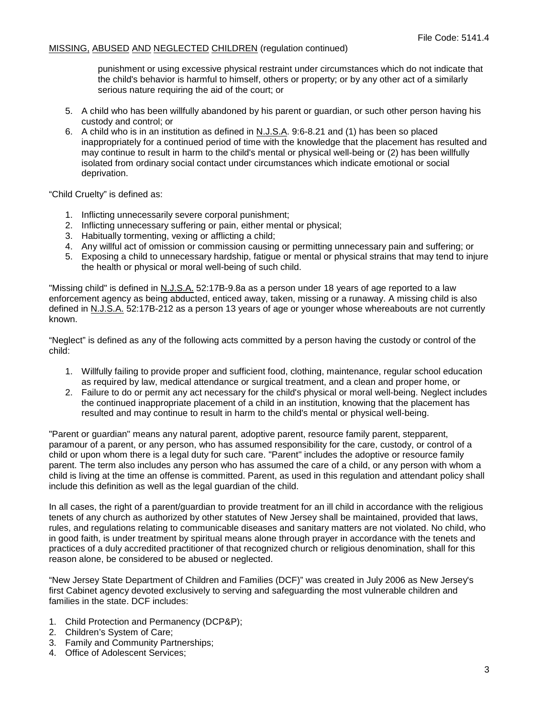punishment or using excessive physical restraint under circumstances which do not indicate that the child's behavior is harmful to himself, others or property; or by any other act of a similarly serious nature requiring the aid of the court; or

- 5. A child who has been willfully abandoned by his parent or guardian, or such other person having his custody and control; or
- 6. A child who is in an institution as defined in N.J.S.A. 9:6-8.21 and (1) has been so placed inappropriately for a continued period of time with the knowledge that the placement has resulted and may continue to result in harm to the child's mental or physical well-being or (2) has been willfully isolated from ordinary social contact under circumstances which indicate emotional or social deprivation.

"Child Cruelty" is defined as:

- 1. Inflicting unnecessarily severe corporal punishment;
- 2. Inflicting unnecessary suffering or pain, either mental or physical;
- 3. Habitually tormenting, vexing or afflicting a child;
- 4. Any willful act of omission or commission causing or permitting unnecessary pain and suffering; or
- 5. Exposing a child to unnecessary hardship, fatigue or mental or physical strains that may tend to injure the health or physical or moral well-being of such child.

"Missing child" is defined in N.J.S.A. 52:17B-9.8a as a person under 18 years of age reported to a law enforcement agency as being abducted, enticed away, taken, missing or a runaway. A missing child is also defined in N.J.S.A. 52:17B-212 as a person 13 years of age or younger whose whereabouts are not currently known.

"Neglect" is defined as any of the following acts committed by a person having the custody or control of the child:

- 1. Willfully failing to provide proper and sufficient food, clothing, maintenance, regular school education as required by law, medical attendance or surgical treatment, and a clean and proper home, or
- 2. Failure to do or permit any act necessary for the child's physical or moral well-being. Neglect includes the continued inappropriate placement of a child in an institution, knowing that the placement has resulted and may continue to result in harm to the child's mental or physical well-being.

"Parent or guardian" means any natural parent, adoptive parent, resource family parent, stepparent, paramour of a parent, or any person, who has assumed responsibility for the care, custody, or control of a child or upon whom there is a legal duty for such care. "Parent" includes the adoptive or resource family parent. The term also includes any person who has assumed the care of a child, or any person with whom a child is living at the time an offense is committed. Parent, as used in this regulation and attendant policy shall include this definition as well as the legal guardian of the child.

In all cases, the right of a parent/guardian to provide treatment for an ill child in accordance with the religious tenets of any church as authorized by other statutes of New Jersey shall be maintained, provided that laws, rules, and regulations relating to communicable diseases and sanitary matters are not violated. No child, who in good faith, is under treatment by spiritual means alone through prayer in accordance with the tenets and practices of a duly accredited practitioner of that recognized church or religious denomination, shall for this reason alone, be considered to be abused or neglected.

"New Jersey State Department of Children and Families (DCF)" was created in July 2006 as New Jersey's first Cabinet agency devoted exclusively to serving and safeguarding the most vulnerable children and families in the state. DCF includes:

- 1. Child Protection and Permanency (DCP&P);
- 2. Children's System of Care;
- 3. Family and Community Partnerships;
- 4. Office of Adolescent Services;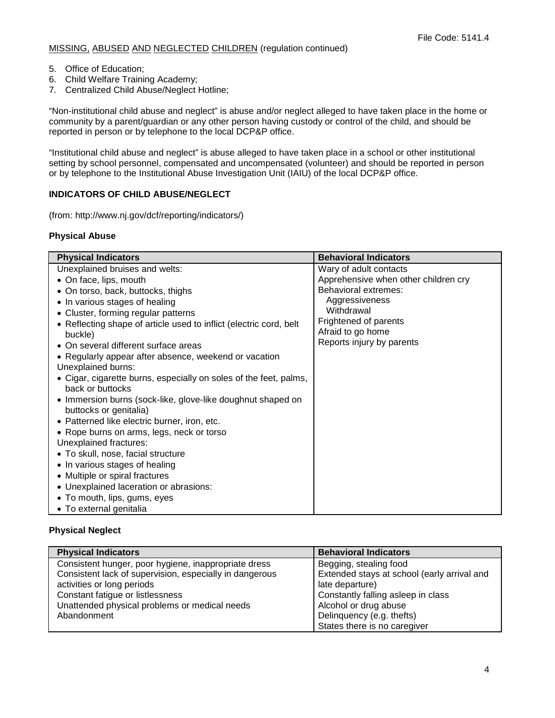- 5. Office of Education;
- 6. Child Welfare Training Academy;
- 7. Centralized Child Abuse/Neglect Hotline;

"Non-institutional child abuse and neglect" is abuse and/or neglect alleged to have taken place in the home or community by a parent/guardian or any other person having custody or control of the child, and should be reported in person or by telephone to the local DCP&P office.

"Institutional child abuse and neglect" is abuse alleged to have taken place in a school or other institutional setting by school personnel, compensated and uncompensated (volunteer) and should be reported in person or by telephone to the Institutional Abuse Investigation Unit (IAIU) of the local DCP&P office.

## **INDICATORS OF CHILD ABUSE/NEGLECT**

(from: http://www.nj.gov/dcf/reporting/indicators/)

## **Physical Abuse**

| <b>Physical Indicators</b>                                                            | <b>Behavioral Indicators</b>                   |
|---------------------------------------------------------------------------------------|------------------------------------------------|
| Unexplained bruises and welts:                                                        | Wary of adult contacts                         |
| • On face, lips, mouth                                                                | Apprehensive when other children cry           |
| • On torso, back, buttocks, thighs                                                    | Behavioral extremes:                           |
| • In various stages of healing                                                        | Aggressiveness                                 |
| • Cluster, forming regular patterns                                                   | Withdrawal                                     |
| • Reflecting shape of article used to inflict (electric cord, belt                    | Frightened of parents                          |
| buckle)                                                                               | Afraid to go home<br>Reports injury by parents |
| • On several different surface areas                                                  |                                                |
| • Regularly appear after absence, weekend or vacation                                 |                                                |
| Unexplained burns:                                                                    |                                                |
| • Cigar, cigarette burns, especially on soles of the feet, palms,<br>back or buttocks |                                                |
| • Immersion burns (sock-like, glove-like doughnut shaped on<br>buttocks or genitalia) |                                                |
| • Patterned like electric burner, iron, etc.                                          |                                                |
| • Rope burns on arms, legs, neck or torso                                             |                                                |
| Unexplained fractures:                                                                |                                                |
| • To skull, nose, facial structure                                                    |                                                |
| • In various stages of healing                                                        |                                                |
| • Multiple or spiral fractures                                                        |                                                |
| • Unexplained laceration or abrasions:                                                |                                                |
| • To mouth, lips, gums, eyes                                                          |                                                |
| • To external genitalia                                                               |                                                |

## **Physical Neglect**

| <b>Physical Indicators</b>                              | <b>Behavioral Indicators</b>                |
|---------------------------------------------------------|---------------------------------------------|
| Consistent hunger, poor hygiene, inappropriate dress    | Begging, stealing food                      |
| Consistent lack of supervision, especially in dangerous | Extended stays at school (early arrival and |
| activities or long periods                              | late departure)                             |
| Constant fatigue or listlessness                        | Constantly falling asleep in class          |
| Unattended physical problems or medical needs           | Alcohol or drug abuse                       |
| Abandonment                                             | Delinquency (e.g. thefts)                   |
|                                                         | States there is no caregiver                |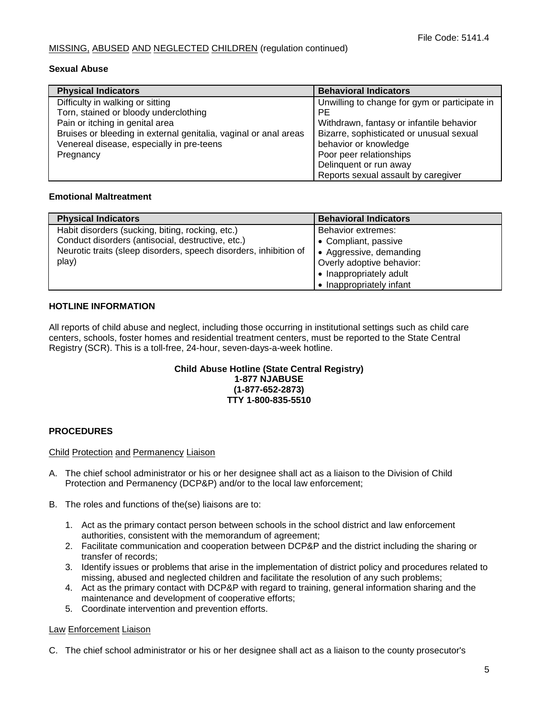#### **Sexual Abuse**

| <b>Physical Indicators</b>                                       | <b>Behavioral Indicators</b>                  |
|------------------------------------------------------------------|-----------------------------------------------|
| Difficulty in walking or sitting                                 | Unwilling to change for gym or participate in |
| Torn, stained or bloody underclothing                            | РE                                            |
| Pain or itching in genital area                                  | Withdrawn, fantasy or infantile behavior      |
| Bruises or bleeding in external genitalia, vaginal or anal areas | Bizarre, sophisticated or unusual sexual      |
| Venereal disease, especially in pre-teens                        | behavior or knowledge                         |
| Pregnancy                                                        | Poor peer relationships                       |
|                                                                  | Delinquent or run away                        |
|                                                                  | Reports sexual assault by caregiver           |

## **Emotional Maltreatment**

| <b>Physical Indicators</b>                                        | <b>Behavioral Indicators</b> |
|-------------------------------------------------------------------|------------------------------|
| Habit disorders (sucking, biting, rocking, etc.)                  | Behavior extremes:           |
| Conduct disorders (antisocial, destructive, etc.)                 | • Compliant, passive         |
| Neurotic traits (sleep disorders, speech disorders, inhibition of | • Aggressive, demanding      |
| play)                                                             | Overly adoptive behavior:    |
|                                                                   | • Inappropriately adult      |
|                                                                   | • Inappropriately infant     |

## **HOTLINE INFORMATION**

All reports of child abuse and neglect, including those occurring in institutional settings such as child care centers, schools, foster homes and residential treatment centers, must be reported to the State Central Registry (SCR). This is a toll-free, 24-hour, seven-days-a-week hotline.

#### **Child Abuse Hotline (State Central Registry) 1-877 NJABUSE (1-877-652-2873) TTY 1-800-835-5510**

## **PROCEDURES**

#### Child Protection and Permanency Liaison

- A. The chief school administrator or his or her designee shall act as a liaison to the Division of Child Protection and Permanency (DCP&P) and/or to the local law enforcement;
- B. The roles and functions of the(se) liaisons are to:
	- 1. Act as the primary contact person between schools in the school district and law enforcement authorities, consistent with the memorandum of agreement;
	- 2. Facilitate communication and cooperation between DCP&P and the district including the sharing or transfer of records;
	- 3. Identify issues or problems that arise in the implementation of district policy and procedures related to missing, abused and neglected children and facilitate the resolution of any such problems;
	- 4. Act as the primary contact with DCP&P with regard to training, general information sharing and the maintenance and development of cooperative efforts;
	- 5. Coordinate intervention and prevention efforts.

#### Law Enforcement Liaison

C. The chief school administrator or his or her designee shall act as a liaison to the county prosecutor's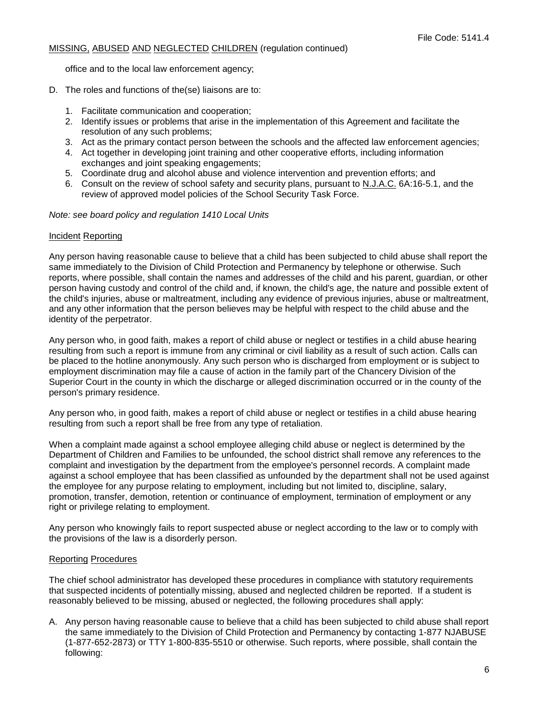office and to the local law enforcement agency;

- D. The roles and functions of the(se) liaisons are to:
	- 1. Facilitate communication and cooperation;
	- 2. Identify issues or problems that arise in the implementation of this Agreement and facilitate the resolution of any such problems;
	- 3. Act as the primary contact person between the schools and the affected law enforcement agencies;
	- 4. Act together in developing joint training and other cooperative efforts, including information exchanges and joint speaking engagements;
	- 5. Coordinate drug and alcohol abuse and violence intervention and prevention efforts; and
	- 6. Consult on the review of school safety and security plans, pursuant to N.J.A.C. 6A:16-5.1, and the review of approved model policies of the School Security Task Force.

*Note: see board policy and regulation 1410 Local Units*

#### Incident Reporting

Any person having reasonable cause to believe that a child has been subjected to child abuse shall report the same immediately to the Division of Child Protection and Permanency by telephone or otherwise. Such reports, where possible, shall contain the names and addresses of the child and his parent, guardian, or other person having custody and control of the child and, if known, the child's age, the nature and possible extent of the child's injuries, abuse or maltreatment, including any evidence of previous injuries, abuse or maltreatment, and any other information that the person believes may be helpful with respect to the child abuse and the identity of the perpetrator.

Any person who, in good faith, makes a report of child abuse or neglect or testifies in a child abuse hearing resulting from such a report is immune from any criminal or civil liability as a result of such action. Calls can be placed to the hotline anonymously. Any such person who is discharged from employment or is subject to employment discrimination may file a cause of action in the family part of the Chancery Division of the Superior Court in the county in which the discharge or alleged discrimination occurred or in the county of the person's primary residence.

Any person who, in good faith, makes a report of child abuse or neglect or testifies in a child abuse hearing resulting from such a report shall be free from any type of retaliation.

When a complaint made against a school employee alleging child abuse or neglect is determined by the Department of Children and Families to be unfounded, the school district shall remove any references to the complaint and investigation by the department from the employee's personnel records. A complaint made against a school employee that has been classified as unfounded by the department shall not be used against the employee for any purpose relating to employment, including but not limited to, discipline, salary, promotion, transfer, demotion, retention or continuance of employment, termination of employment or any right or privilege relating to employment.

Any person who knowingly fails to report suspected abuse or neglect according to the law or to comply with the provisions of the law is a disorderly person.

#### Reporting Procedures

The chief school administrator has developed these procedures in compliance with statutory requirements that suspected incidents of potentially missing, abused and neglected children be reported. If a student is reasonably believed to be missing, abused or neglected, the following procedures shall apply:

A. Any person having reasonable cause to believe that a child has been subjected to child abuse shall report the same immediately to the Division of Child Protection and Permanency by contacting 1-877 NJABUSE (1-877-652-2873) or TTY 1-800-835-5510 or otherwise. Such reports, where possible, shall contain the following: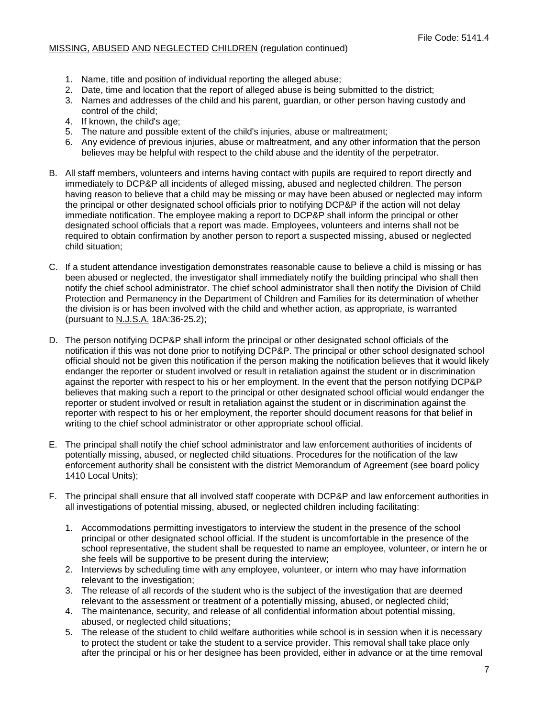- 1. Name, title and position of individual reporting the alleged abuse;
- 2. Date, time and location that the report of alleged abuse is being submitted to the district;
- 3. Names and addresses of the child and his parent, guardian, or other person having custody and control of the child;
- 4. If known, the child's age;
- 5. The nature and possible extent of the child's injuries, abuse or maltreatment;
- 6. Any evidence of previous injuries, abuse or maltreatment, and any other information that the person believes may be helpful with respect to the child abuse and the identity of the perpetrator.
- B. All staff members, volunteers and interns having contact with pupils are required to report directly and immediately to DCP&P all incidents of alleged missing, abused and neglected children. The person having reason to believe that a child may be missing or may have been abused or neglected may inform the principal or other designated school officials prior to notifying DCP&P if the action will not delay immediate notification. The employee making a report to DCP&P shall inform the principal or other designated school officials that a report was made. Employees, volunteers and interns shall not be required to obtain confirmation by another person to report a suspected missing, abused or neglected child situation;
- C. If a student attendance investigation demonstrates reasonable cause to believe a child is missing or has been abused or neglected, the investigator shall immediately notify the building principal who shall then notify the chief school administrator. The chief school administrator shall then notify the Division of Child Protection and Permanency in the Department of Children and Families for its determination of whether the division is or has been involved with the child and whether action, as appropriate, is warranted (pursuant to N.J.S.A. 18A:36-25.2);
- D. The person notifying DCP&P shall inform the principal or other designated school officials of the notification if this was not done prior to notifying DCP&P. The principal or other school designated school official should not be given this notification if the person making the notification believes that it would likely endanger the reporter or student involved or result in retaliation against the student or in discrimination against the reporter with respect to his or her employment. In the event that the person notifying DCP&P believes that making such a report to the principal or other designated school official would endanger the reporter or student involved or result in retaliation against the student or in discrimination against the reporter with respect to his or her employment, the reporter should document reasons for that belief in writing to the chief school administrator or other appropriate school official.
- E. The principal shall notify the chief school administrator and law enforcement authorities of incidents of potentially missing, abused, or neglected child situations. Procedures for the notification of the law enforcement authority shall be consistent with the district Memorandum of Agreement (see board policy 1410 Local Units);
- F. The principal shall ensure that all involved staff cooperate with DCP&P and law enforcement authorities in all investigations of potential missing, abused, or neglected children including facilitating:
	- 1. Accommodations permitting investigators to interview the student in the presence of the school principal or other designated school official. If the student is uncomfortable in the presence of the school representative, the student shall be requested to name an employee, volunteer, or intern he or she feels will be supportive to be present during the interview;
	- 2. Interviews by scheduling time with any employee, volunteer, or intern who may have information relevant to the investigation;
	- 3. The release of all records of the student who is the subject of the investigation that are deemed relevant to the assessment or treatment of a potentially missing, abused, or neglected child;
	- 4. The maintenance, security, and release of all confidential information about potential missing, abused, or neglected child situations;
	- 5. The release of the student to child welfare authorities while school is in session when it is necessary to protect the student or take the student to a service provider. This removal shall take place only after the principal or his or her designee has been provided, either in advance or at the time removal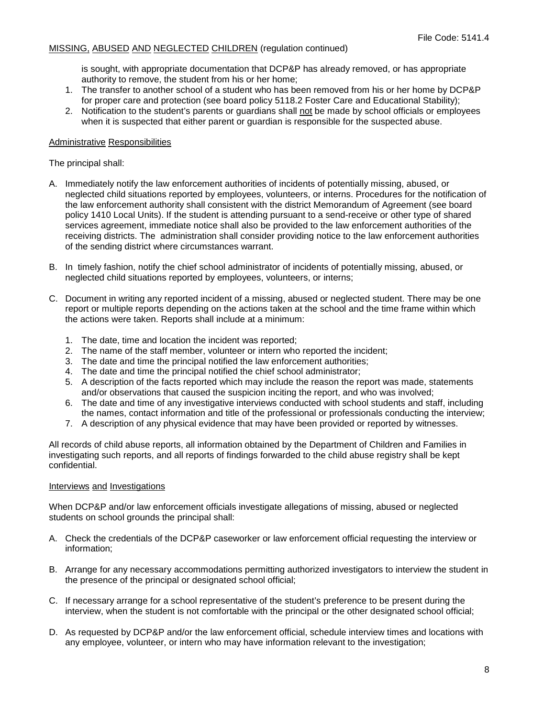is sought, with appropriate documentation that DCP&P has already removed, or has appropriate authority to remove, the student from his or her home;

- 1. The transfer to another school of a student who has been removed from his or her home by DCP&P for proper care and protection (see board policy 5118.2 Foster Care and Educational Stability);
- 2. Notification to the student's parents or guardians shall not be made by school officials or employees when it is suspected that either parent or guardian is responsible for the suspected abuse.

#### Administrative Responsibilities

The principal shall:

- A. Immediately notify the law enforcement authorities of incidents of potentially missing, abused, or neglected child situations reported by employees, volunteers, or interns. Procedures for the notification of the law enforcement authority shall consistent with the district Memorandum of Agreement (see board policy 1410 Local Units). If the student is attending pursuant to a send-receive or other type of shared services agreement, immediate notice shall also be provided to the law enforcement authorities of the receiving districts. The administration shall consider providing notice to the law enforcement authorities of the sending district where circumstances warrant.
- B. In timely fashion, notify the chief school administrator of incidents of potentially missing, abused, or neglected child situations reported by employees, volunteers, or interns;
- C. Document in writing any reported incident of a missing, abused or neglected student. There may be one report or multiple reports depending on the actions taken at the school and the time frame within which the actions were taken. Reports shall include at a minimum:
	- 1. The date, time and location the incident was reported;
	- 2. The name of the staff member, volunteer or intern who reported the incident;
	- 3. The date and time the principal notified the law enforcement authorities;
	- 4. The date and time the principal notified the chief school administrator;
	- 5. A description of the facts reported which may include the reason the report was made, statements and/or observations that caused the suspicion inciting the report, and who was involved;
	- 6. The date and time of any investigative interviews conducted with school students and staff, including the names, contact information and title of the professional or professionals conducting the interview;
	- 7. A description of any physical evidence that may have been provided or reported by witnesses.

All records of child abuse reports, all information obtained by the Department of Children and Families in investigating such reports, and all reports of findings forwarded to the child abuse registry shall be kept confidential.

#### Interviews and Investigations

When DCP&P and/or law enforcement officials investigate allegations of missing, abused or neglected students on school grounds the principal shall:

- A. Check the credentials of the DCP&P caseworker or law enforcement official requesting the interview or information;
- B. Arrange for any necessary accommodations permitting authorized investigators to interview the student in the presence of the principal or designated school official;
- C. If necessary arrange for a school representative of the student's preference to be present during the interview, when the student is not comfortable with the principal or the other designated school official;
- D. As requested by DCP&P and/or the law enforcement official, schedule interview times and locations with any employee, volunteer, or intern who may have information relevant to the investigation;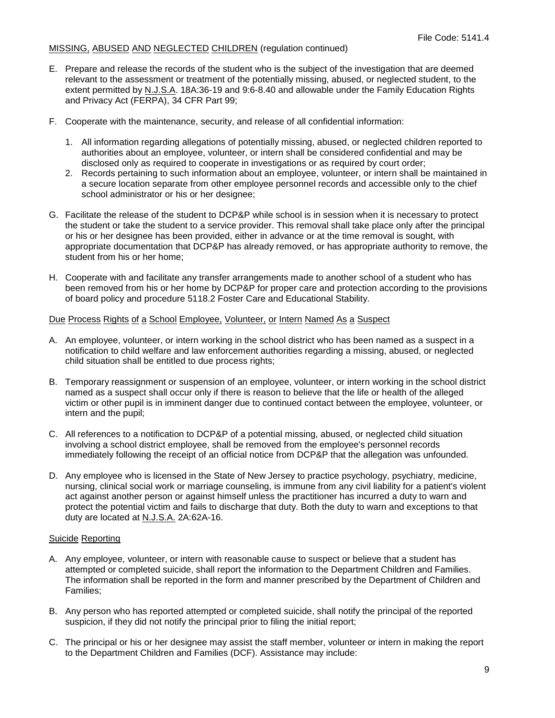- E. Prepare and release the records of the student who is the subject of the investigation that are deemed relevant to the assessment or treatment of the potentially missing, abused, or neglected student, to the extent permitted by N.J.S.A. 18A:36-19 and 9:6-8.40 and allowable under the Family Education Rights and Privacy Act (FERPA), 34 CFR Part 99;
- F. Cooperate with the maintenance, security, and release of all confidential information:
	- 1. All information regarding allegations of potentially missing, abused, or neglected children reported to authorities about an employee, volunteer, or intern shall be considered confidential and may be disclosed only as required to cooperate in investigations or as required by court order;
	- 2. Records pertaining to such information about an employee, volunteer, or intern shall be maintained in a secure location separate from other employee personnel records and accessible only to the chief school administrator or his or her designee;
- G. Facilitate the release of the student to DCP&P while school is in session when it is necessary to protect the student or take the student to a service provider. This removal shall take place only after the principal or his or her designee has been provided, either in advance or at the time removal is sought, with appropriate documentation that DCP&P has already removed, or has appropriate authority to remove, the student from his or her home;
- H. Cooperate with and facilitate any transfer arrangements made to another school of a student who has been removed from his or her home by DCP&P for proper care and protection according to the provisions of board policy and procedure 5118.2 Foster Care and Educational Stability.

# Due Process Rights of a School Employee, Volunteer, or Intern Named As a Suspect

- A. An employee, volunteer, or intern working in the school district who has been named as a suspect in a notification to child welfare and law enforcement authorities regarding a missing, abused, or neglected child situation shall be entitled to due process rights;
- B. Temporary reassignment or suspension of an employee, volunteer, or intern working in the school district named as a suspect shall occur only if there is reason to believe that the life or health of the alleged victim or other pupil is in imminent danger due to continued contact between the employee, volunteer, or intern and the pupil;
- C. All references to a notification to DCP&P of a potential missing, abused, or neglected child situation involving a school district employee, shall be removed from the employee's personnel records immediately following the receipt of an official notice from DCP&P that the allegation was unfounded.
- D. Any employee who is licensed in the State of New Jersey to practice psychology, psychiatry, medicine, nursing, clinical social work or marriage counseling, is immune from any civil liability for a patient's violent act against another person or against himself unless the practitioner has incurred a duty to warn and protect the potential victim and fails to discharge that duty. Both the duty to warn and exceptions to that duty are located at N.J.S.A. 2A:62A-16.

# Suicide Reporting

- A. Any employee, volunteer, or intern with reasonable cause to suspect or believe that a student has attempted or completed suicide, shall report the information to the Department Children and Families. The information shall be reported in the form and manner prescribed by the Department of Children and Families;
- B. Any person who has reported attempted or completed suicide, shall notify the principal of the reported suspicion, if they did not notify the principal prior to filing the initial report;
- C. The principal or his or her designee may assist the staff member, volunteer or intern in making the report to the Department Children and Families (DCF). Assistance may include: